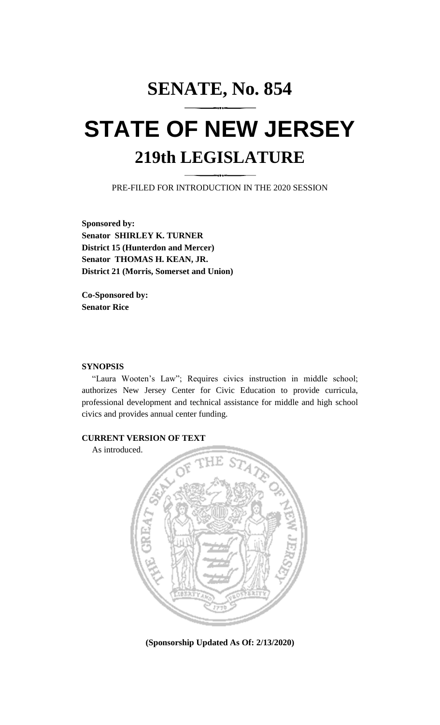# **SENATE, No. 854 STATE OF NEW JERSEY 219th LEGISLATURE**

PRE-FILED FOR INTRODUCTION IN THE 2020 SESSION

**Sponsored by: Senator SHIRLEY K. TURNER District 15 (Hunterdon and Mercer) Senator THOMAS H. KEAN, JR. District 21 (Morris, Somerset and Union)**

**Co-Sponsored by: Senator Rice**

#### **SYNOPSIS**

"Laura Wooten's Law"; Requires civics instruction in middle school; authorizes New Jersey Center for Civic Education to provide curricula, professional development and technical assistance for middle and high school civics and provides annual center funding.

## **CURRENT VERSION OF TEXT**

As introduced.



**(Sponsorship Updated As Of: 2/13/2020)**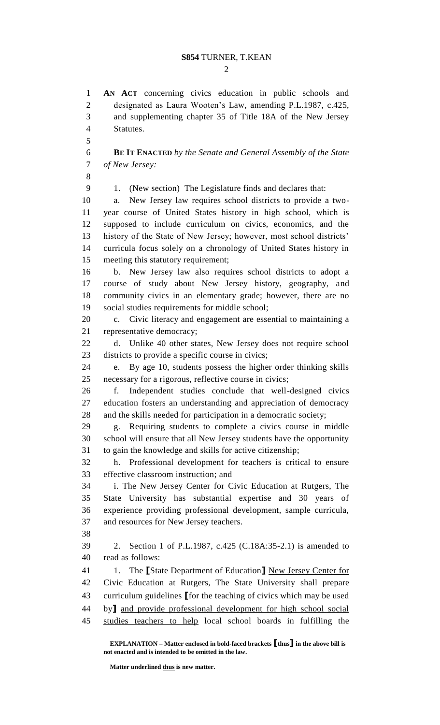### **S854** TURNER, T.KEAN

 $\mathcal{D}_{\mathcal{L}}$ 

 **AN ACT** concerning civics education in public schools and designated as Laura Wooten's Law, amending P.L.1987, c.425, and supplementing chapter 35 of Title 18A of the New Jersey Statutes. **BE IT ENACTED** *by the Senate and General Assembly of the State of New Jersey:* 1. (New section) The Legislature finds and declares that: a. New Jersey law requires school districts to provide a two- year course of United States history in high school, which is supposed to include curriculum on civics, economics, and the history of the State of New Jersey; however, most school districts' curricula focus solely on a chronology of United States history in meeting this statutory requirement; b. New Jersey law also requires school districts to adopt a course of study about New Jersey history, geography, and community civics in an elementary grade; however, there are no social studies requirements for middle school; c. Civic literacy and engagement are essential to maintaining a representative democracy; d. Unlike 40 other states, New Jersey does not require school districts to provide a specific course in civics; e. By age 10, students possess the higher order thinking skills necessary for a rigorous, reflective course in civics; f. Independent studies conclude that well-designed civics education fosters an understanding and appreciation of democracy and the skills needed for participation in a democratic society; g. Requiring students to complete a civics course in middle school will ensure that all New Jersey students have the opportunity to gain the knowledge and skills for active citizenship; h. Professional development for teachers is critical to ensure effective classroom instruction; and i. The New Jersey Center for Civic Education at Rutgers, The State University has substantial expertise and 30 years of experience providing professional development, sample curricula, and resources for New Jersey teachers. 2. Section 1 of P.L.1987, c.425 (C.18A:35-2.1) is amended to read as follows: 1. The **[**State Department of Education**]** New Jersey Center for Civic Education at Rutgers, The State University shall prepare curriculum guidelines **[**for the teaching of civics which may be used by**]** and provide professional development for high school social studies teachers to help local school boards in fulfilling the

**EXPLANATION – Matter enclosed in bold-faced brackets [thus] in the above bill is not enacted and is intended to be omitted in the law.**

**Matter underlined thus is new matter.**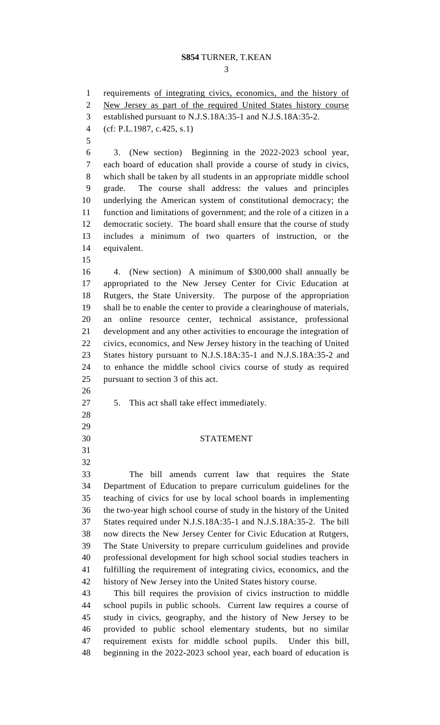## **S854** TURNER, T.KEAN

 requirements of integrating civics, economics, and the history of New Jersey as part of the required United States history course established pursuant to N.J.S.18A:35-1 and N.J.S.18A:35-2. (cf: P.L.1987, c.425, s.1) 3. (New section) Beginning in the 2022-2023 school year, each board of education shall provide a course of study in civics, which shall be taken by all students in an appropriate middle school grade. The course shall address: the values and principles underlying the American system of constitutional democracy; the function and limitations of government; and the role of a citizen in a democratic society. The board shall ensure that the course of study includes a minimum of two quarters of instruction, or the equivalent. 4. (New section) A minimum of \$300,000 shall annually be appropriated to the New Jersey Center for Civic Education at Rutgers, the State University. The purpose of the appropriation shall be to enable the center to provide a clearinghouse of materials, an online resource center, technical assistance, professional development and any other activities to encourage the integration of civics, economics, and New Jersey history in the teaching of United States history pursuant to N.J.S.18A:35-1 and N.J.S.18A:35-2 and to enhance the middle school civics course of study as required pursuant to section 3 of this act. 5. This act shall take effect immediately. STATEMENT The bill amends current law that requires the State Department of Education to prepare curriculum guidelines for the teaching of civics for use by local school boards in implementing the two-year high school course of study in the history of the United States required under N.J.S.18A:35-1 and N.J.S.18A:35-2. The bill now directs the New Jersey Center for Civic Education at Rutgers, The State University to prepare curriculum guidelines and provide professional development for high school social studies teachers in fulfilling the requirement of integrating civics, economics, and the history of New Jersey into the United States history course. This bill requires the provision of civics instruction to middle school pupils in public schools. Current law requires a course of study in civics, geography, and the history of New Jersey to be provided to public school elementary students, but no similar requirement exists for middle school pupils. Under this bill, beginning in the 2022-2023 school year, each board of education is